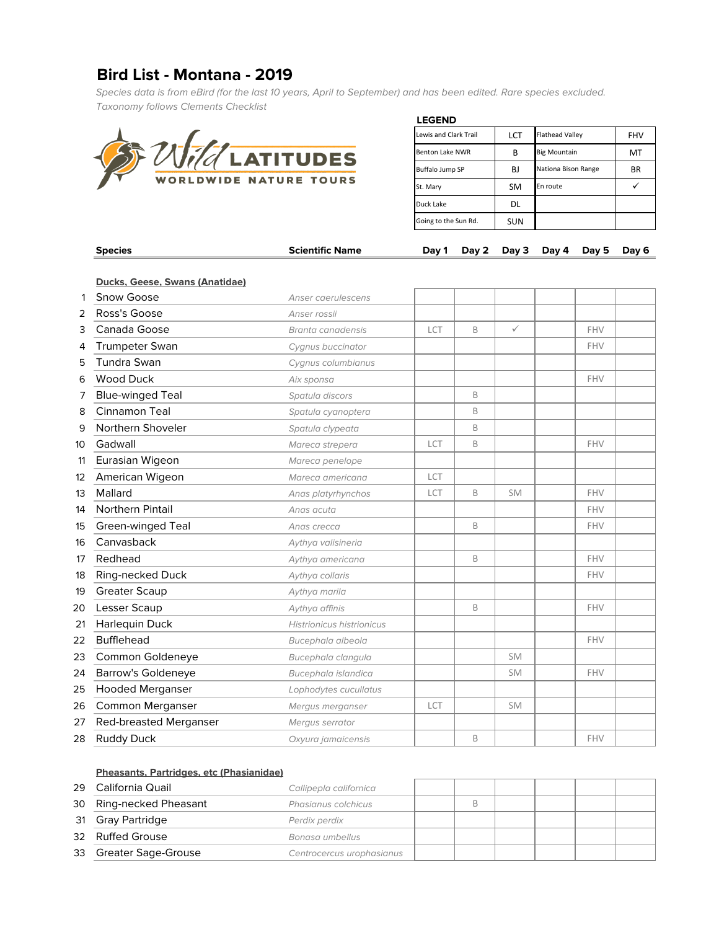# **Bird List - Montana - 2019**

Species data is from eBird (for the last 10 years, April to September) and has been edited. Rare species excluded. Taxonomy follows Clements Checklist



| <b>LEGEND</b>          |            |                        |            |
|------------------------|------------|------------------------|------------|
| Lewis and Clark Trail  | LCT        | <b>Flathead Valley</b> | <b>FHV</b> |
| <b>Benton Lake NWR</b> | В          | <b>Big Mountain</b>    | MT         |
| Buffalo Jump SP        | BJ         | Nationa Bison Range    | BR.        |
| St. Mary               | <b>SM</b>  | En route               |            |
| Duck Lake              | DL         |                        |            |
| Going to the Sun Rd.   | <b>SUN</b> |                        |            |

|    | <b>Species</b>                               | <b>Scientific Name</b>           | Day 1 | Day 2 | Day 3        | Day 4 | Day 5      | Day 6 |
|----|----------------------------------------------|----------------------------------|-------|-------|--------------|-------|------------|-------|
|    |                                              |                                  |       |       |              |       |            |       |
|    | Ducks, Geese, Swans (Anatidae)<br>Snow Goose |                                  |       |       |              |       |            |       |
| 1  |                                              | Anser caerulescens               |       |       |              |       |            |       |
| 2  | Ross's Goose                                 | Anser rossii                     |       |       |              |       |            |       |
| 3  | Canada Goose                                 | Branta canadensis                | LCT   | B     | $\checkmark$ |       | <b>FHV</b> |       |
| 4  | <b>Trumpeter Swan</b>                        | Cygnus buccinator                |       |       |              |       | FHV        |       |
| 5  | Tundra Swan                                  | Cygnus columbianus               |       |       |              |       |            |       |
| 6  | <b>Wood Duck</b>                             | Aix sponsa                       |       |       |              |       | FHV        |       |
| 7  | <b>Blue-winged Teal</b>                      | Spatula discors                  |       | B     |              |       |            |       |
| 8  | Cinnamon Teal                                | Spatula cyanoptera               |       | B     |              |       |            |       |
| 9  | Northern Shoveler                            | Spatula clypeata                 |       | B     |              |       |            |       |
| 10 | Gadwall                                      | Mareca strepera                  | LCT   | B     |              |       | <b>FHV</b> |       |
| 11 | Eurasian Wigeon                              | Mareca penelope                  |       |       |              |       |            |       |
| 12 | American Wigeon                              | Mareca americana                 | LCT   |       |              |       |            |       |
| 13 | Mallard                                      | Anas platyrhynchos               | LCT   | B     | <b>SM</b>    |       | FHV        |       |
| 14 | Northern Pintail                             | Anas acuta                       |       |       |              |       | <b>FHV</b> |       |
| 15 | Green-winged Teal                            | Anas crecca                      |       | B     |              |       | FHV        |       |
| 16 | Canvasback                                   | Aythya valisineria               |       |       |              |       |            |       |
| 17 | Redhead                                      | Aythya americana                 |       | B     |              |       | <b>FHV</b> |       |
| 18 | Ring-necked Duck                             | Aythya collaris                  |       |       |              |       | <b>FHV</b> |       |
| 19 | <b>Greater Scaup</b>                         | Aythya marila                    |       |       |              |       |            |       |
| 20 | Lesser Scaup                                 | Aythya affinis                   |       | B     |              |       | <b>FHV</b> |       |
| 21 | Harlequin Duck                               | <b>Histrionicus histrionicus</b> |       |       |              |       |            |       |
| 22 | <b>Bufflehead</b>                            | Bucephala albeola                |       |       |              |       | <b>FHV</b> |       |
| 23 | Common Goldeneye                             | Bucephala clangula               |       |       | <b>SM</b>    |       |            |       |
| 24 | <b>Barrow's Goldeneye</b>                    | Bucephala islandica              |       |       | <b>SM</b>    |       | <b>FHV</b> |       |
| 25 | <b>Hooded Merganser</b>                      | Lophodytes cucullatus            |       |       |              |       |            |       |
| 26 | Common Merganser                             | Mergus merganser                 | LCT   |       | <b>SM</b>    |       |            |       |
| 27 | Red-breasted Merganser                       | Mergus serrator                  |       |       |              |       |            |       |
| 28 | <b>Ruddy Duck</b>                            | Oxyura jamaicensis               |       | B     |              |       | FHV        |       |

#### **Pheasants, Partridges, etc (Phasianidae)**

| 29 | California Quail        | Callipepla californica    |  |  |  |
|----|-------------------------|---------------------------|--|--|--|
|    | 30 Ring-necked Pheasant | Phasianus colchicus       |  |  |  |
|    | 31 Gray Partridge       | Perdix perdix             |  |  |  |
|    | 32 Ruffed Grouse        | Bonasa umbellus           |  |  |  |
|    | 33 Greater Sage-Grouse  | Centrocercus urophasianus |  |  |  |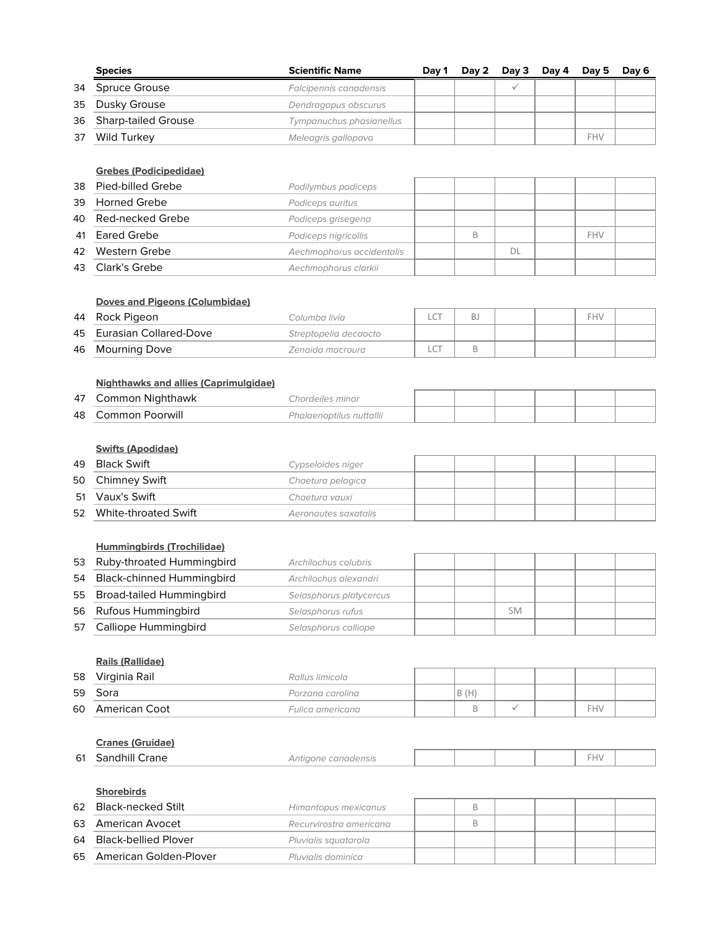|    | <b>Species</b>         | <b>Scientific Name</b>   | Dav 1 | Dav 2 | Day $3$ Day $4$ Day $5$ |     | Day 6 |
|----|------------------------|--------------------------|-------|-------|-------------------------|-----|-------|
|    | 34 Spruce Grouse       | Falcipennis canadensis   |       |       |                         |     |       |
|    | 35 Dusky Grouse        | Dendragapus obscurus     |       |       |                         |     |       |
|    | 36 Sharp-tailed Grouse | Tympanuchus phasianellus |       |       |                         |     |       |
| 37 | Wild Turkey            | Meleagris gallopavo      |       |       |                         | FHV |       |

#### **Grebes (Podicipedidae)**

| 38 Pied-billed Grebe | Podilymbus podiceps       |  |    |            |  |
|----------------------|---------------------------|--|----|------------|--|
| 39 Horned Grebe      | Podiceps auritus          |  |    |            |  |
| 40 Red-necked Grebe  | Podiceps grisegena        |  |    |            |  |
| 41 Eared Grebe       | Podiceps nigricollis      |  |    | <b>FHV</b> |  |
| 42 Western Grebe     | Aechmophorus occidentalis |  | DL |            |  |
| 43 Clark's Grebe     | Aechmophorus clarkii      |  |    |            |  |

#### **Doves and Pigeons (Columbidae)**

| 44 | Rock Pigeon               | Columba livia.        | $\sim$ | В. |  | <b>FHV</b> |  |
|----|---------------------------|-----------------------|--------|----|--|------------|--|
|    | 45 Eurasian Collared-Dove | Streptopelia decaocto |        |    |  |            |  |
| 46 | Mourning Dove             | Zenaida macroura      |        |    |  |            |  |

# **Nighthawks and allies (Caprimulgidae)**

| 47 | Common Niahthawk. | hordeiles minor:         |  |  |  |
|----|-------------------|--------------------------|--|--|--|
| 48 | Common Poorwill   | Phalaenoptilus nuttallii |  |  |  |

# **Swifts (Apodidae)**

| 49 | Black Swift             | Cypseloides niger    |  |  |  |
|----|-------------------------|----------------------|--|--|--|
|    | 50 Chimney Swift        | Chaetura pelagica    |  |  |  |
|    | 51 Vaux's Swift         | Chaetura vauxi       |  |  |  |
|    | 52 White-throated Swift | Aeronautes saxatalis |  |  |  |
|    |                         |                      |  |  |  |

# **Hummingbirds (Trochilidae)**

|    | 53 Ruby-throated Hummingbird | Archilochus colubris    |  |           |  |  |
|----|------------------------------|-------------------------|--|-----------|--|--|
|    | 54 Black-chinned Hummingbird | Archilochus alexandri   |  |           |  |  |
|    | 55 Broad-tailed Hummingbird  | Selasphorus platycercus |  |           |  |  |
|    | 56 Rufous Hummingbird        | Selasphorus rufus       |  | <b>SM</b> |  |  |
| 57 | Calliope Hummingbird         | Selasphorus calliope    |  |           |  |  |

#### **Rails (Rallidae)**

|    | <u>Ralis (Ralildae)</u> |                  |          |  |     |  |
|----|-------------------------|------------------|----------|--|-----|--|
| 58 | Virginia Rail           | Rallus limicola  |          |  |     |  |
| 59 | Sora                    | Porzana carolina | (H)<br>B |  |     |  |
| 60 | American Coot           | Fulica americana |          |  | FHV |  |

# **Cranes (Gruidae)**

| 61<br>__ | crane<br>hill<br>והר<br>. | :anadensis<br>autidone co<br>. |  |  | - - |  |
|----------|---------------------------|--------------------------------|--|--|-----|--|
|          |                           |                                |  |  |     |  |

#### **Shorebirds**

| 62 Black-necked Stilt     | Himantopus mexicanus    |  |  |  |
|---------------------------|-------------------------|--|--|--|
| 63 American Avocet        | Recurvirostra americana |  |  |  |
| 64 Black-bellied Plover   | Pluvialis sauatarola    |  |  |  |
| 65 American Golden-Plover | Pluvialis dominica      |  |  |  |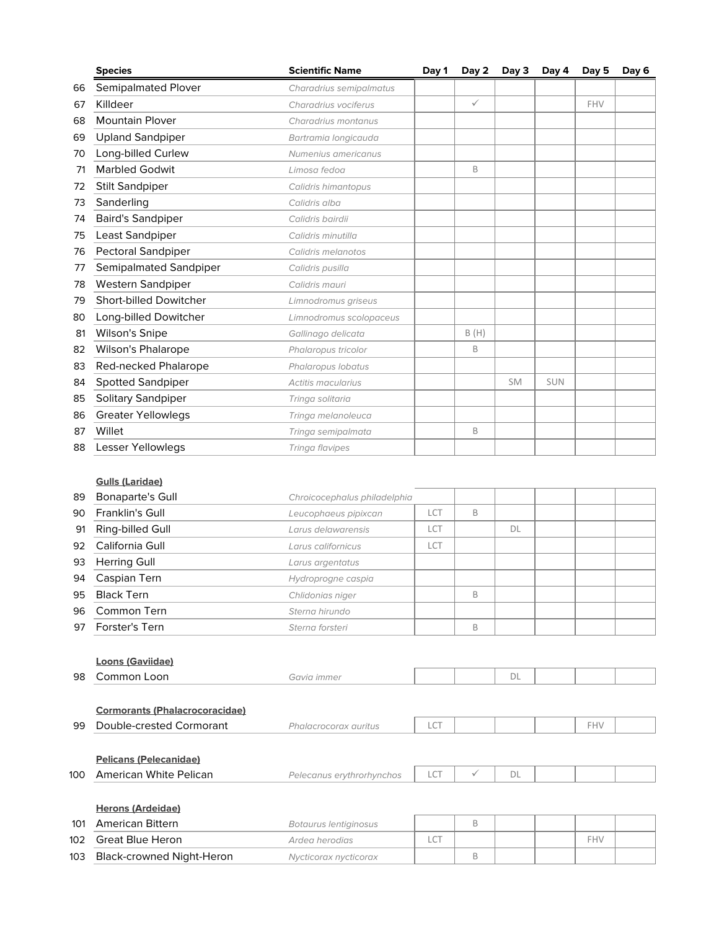|    | <b>Species</b>                | <b>Scientific Name</b>    | Day 1 | Day 2        | Day 3     | Day 4      | Day 5      | Day 6 |
|----|-------------------------------|---------------------------|-------|--------------|-----------|------------|------------|-------|
| 66 | <b>Semipalmated Plover</b>    | Charadrius semipalmatus   |       |              |           |            |            |       |
| 67 | Killdeer                      | Charadrius vociferus      |       | $\checkmark$ |           |            | <b>FHV</b> |       |
| 68 | <b>Mountain Plover</b>        | Charadrius montanus       |       |              |           |            |            |       |
| 69 | <b>Upland Sandpiper</b>       | Bartramia longicauda      |       |              |           |            |            |       |
| 70 | Long-billed Curlew            | Numenius americanus       |       |              |           |            |            |       |
| 71 | <b>Marbled Godwit</b>         | Limosa fedoa              |       | B            |           |            |            |       |
| 72 | <b>Stilt Sandpiper</b>        | Calidris himantopus       |       |              |           |            |            |       |
| 73 | Sanderling                    | Calidris alba             |       |              |           |            |            |       |
| 74 | <b>Baird's Sandpiper</b>      | Calidris bairdii          |       |              |           |            |            |       |
| 75 | Least Sandpiper               | Calidris minutilla        |       |              |           |            |            |       |
| 76 | <b>Pectoral Sandpiper</b>     | Calidris melanotos        |       |              |           |            |            |       |
| 77 | Semipalmated Sandpiper        | Calidris pusilla          |       |              |           |            |            |       |
| 78 | Western Sandpiper             | Calidris mauri            |       |              |           |            |            |       |
| 79 | <b>Short-billed Dowitcher</b> | Limnodromus griseus       |       |              |           |            |            |       |
| 80 | Long-billed Dowitcher         | Limnodromus scolopaceus   |       |              |           |            |            |       |
| 81 | <b>Wilson's Snipe</b>         | Gallinago delicata        |       | B(H)         |           |            |            |       |
| 82 | <b>Wilson's Phalarope</b>     | Phalaropus tricolor       |       | B            |           |            |            |       |
| 83 | Red-necked Phalarope          | Phalaropus lobatus        |       |              |           |            |            |       |
| 84 | <b>Spotted Sandpiper</b>      | <b>Actitis macularius</b> |       |              | <b>SM</b> | <b>SUN</b> |            |       |
| 85 | Solitary Sandpiper            | Tringa solitaria          |       |              |           |            |            |       |
| 86 | <b>Greater Yellowlegs</b>     | Tringa melanoleuca        |       |              |           |            |            |       |
| 87 | Willet                        | Tringa semipalmata        |       | B            |           |            |            |       |
| 88 | Lesser Yellowlegs             | Tringa flavipes           |       |              |           |            |            |       |
|    |                               |                           |       |              |           |            |            |       |

# **Gulls (Laridae)**

| 89 | <b>Bonaparte's Gull</b> | Chroicocephalus philadelphia |                 |   |    |  |  |
|----|-------------------------|------------------------------|-----------------|---|----|--|--|
| 90 | Franklin's Gull         | Leucophaeus pipixcan         | LCT             | B |    |  |  |
| 91 | Ring-billed Gull        | Larus delawarensis           | LC <sup>7</sup> |   | DL |  |  |
| 92 | California Gull         | Larus californicus           | LCT             |   |    |  |  |
| 93 | <b>Herring Gull</b>     | Larus argentatus             |                 |   |    |  |  |
| 94 | Caspian Tern            | Hydroprogne caspia           |                 |   |    |  |  |
| 95 | <b>Black Tern</b>       | Chlidonias niger             |                 | B |    |  |  |
| 96 | Common Tern             | Sterna hirundo               |                 |   |    |  |  |
| 97 | Forster's Tern          | Sterna forsteri              |                 | B |    |  |  |

|     | <b>Loons (Gaviidae)</b>               |                           |     |              |    |     |  |
|-----|---------------------------------------|---------------------------|-----|--------------|----|-----|--|
| 98  | Common Loon                           | Gavia immer               |     |              | DL |     |  |
|     |                                       |                           |     |              |    |     |  |
|     | <b>Cormorants (Phalacrocoracidae)</b> |                           |     |              |    |     |  |
| 99  | Double-crested Cormorant              | Phalacrocorax auritus     | LCT |              |    | FHV |  |
|     |                                       |                           |     |              |    |     |  |
|     | <b>Pelicans (Pelecanidae)</b>         |                           |     |              |    |     |  |
| 100 | American White Pelican                | Pelecanus erythrorhynchos | LCT | $\checkmark$ | DL |     |  |
|     |                                       |                           |     |              |    |     |  |
|     | <b>Herons (Ardeidae)</b>              |                           |     |              |    |     |  |
| 101 | <b>American Bittern</b>               | Botaurus lentiginosus     |     | B            |    |     |  |

| 101 | American Bittern          | Botaurus lentiginosus |  |  |  |
|-----|---------------------------|-----------------------|--|--|--|
| 102 | Great Blue Heron          | Ardea herodias        |  |  |  |
| 103 | Black-crowned Night-Heron | Nvcticorax nvcticorax |  |  |  |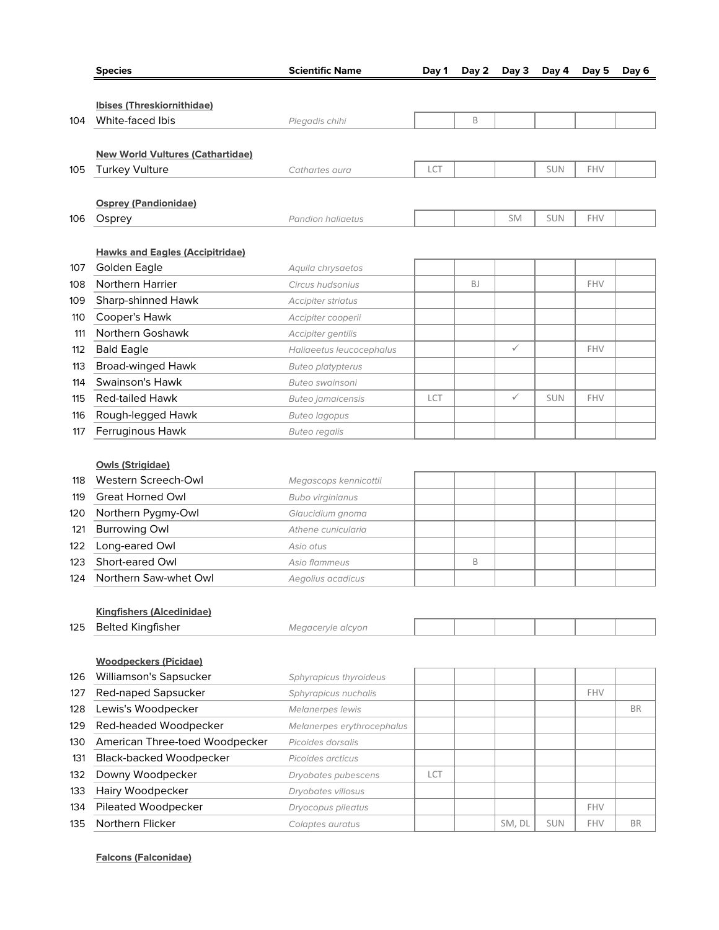|            | <b>Species</b>                                               | <b>Scientific Name</b>     | Day 1 | Day 2     | Day 3        | Day 4      | Day 5      | Day 6     |
|------------|--------------------------------------------------------------|----------------------------|-------|-----------|--------------|------------|------------|-----------|
|            |                                                              |                            |       |           |              |            |            |           |
|            | Ibises (Threskiornithidae)                                   |                            |       |           |              |            |            |           |
| 104        | White-faced Ibis                                             | Plegadis chihi             |       | B         |              |            |            |           |
|            |                                                              |                            |       |           |              |            |            |           |
|            | <b>New World Vultures (Cathartidae)</b>                      |                            |       |           |              |            |            |           |
| 105        | <b>Turkey Vulture</b>                                        | Cathartes aura             | LCT   |           |              | <b>SUN</b> | FHV        |           |
|            |                                                              |                            |       |           |              |            |            |           |
|            | <b>Osprey (Pandionidae)</b>                                  |                            |       |           |              |            |            |           |
| 106        | Osprey                                                       | <b>Pandion haliaetus</b>   |       |           | <b>SM</b>    | <b>SUN</b> | FHV        |           |
|            |                                                              |                            |       |           |              |            |            |           |
|            | <b>Hawks and Eagles (Accipitridae)</b>                       |                            |       |           |              |            |            |           |
| 107        | Golden Eagle                                                 | Aquila chrysaetos          |       |           |              |            |            |           |
| 108        | <b>Northern Harrier</b>                                      | Circus hudsonius           |       | <b>BJ</b> |              |            | <b>FHV</b> |           |
| 109        | Sharp-shinned Hawk                                           | <b>Accipiter striatus</b>  |       |           |              |            |            |           |
| 110        | Cooper's Hawk                                                | Accipiter cooperii         |       |           |              |            |            |           |
| 111        | Northern Goshawk                                             | Accipiter gentilis         |       |           |              |            |            |           |
| 112        | <b>Bald Eagle</b>                                            | Haliaeetus leucocephalus   |       |           | $\checkmark$ |            | <b>FHV</b> |           |
| 113        | <b>Broad-winged Hawk</b>                                     | <b>Buteo platypterus</b>   |       |           |              |            |            |           |
| 114        | Swainson's Hawk                                              | <b>Buteo swainsoni</b>     |       |           |              |            |            |           |
| 115        | <b>Red-tailed Hawk</b>                                       | <b>Buteo jamaicensis</b>   | LCT   |           | $\checkmark$ | <b>SUN</b> | FHV        |           |
| 116        | Rough-legged Hawk                                            | <b>Buteo lagopus</b>       |       |           |              |            |            |           |
| 117        | Ferruginous Hawk                                             | <b>Buteo regalis</b>       |       |           |              |            |            |           |
|            |                                                              |                            |       |           |              |            |            |           |
|            | <b>Owls (Strigidae)</b>                                      |                            |       |           |              |            |            |           |
| 118        | Western Screech-Owl                                          | Megascops kennicottii      |       |           |              |            |            |           |
| 119        | <b>Great Horned Owl</b>                                      | <b>Bubo virginianus</b>    |       |           |              |            |            |           |
| 120        | Northern Pygmy-Owl                                           | Glaucidium gnoma           |       |           |              |            |            |           |
| 121        | <b>Burrowing Owl</b>                                         | Athene cunicularia         |       |           |              |            |            |           |
| 122<br>123 | Long-eared Owl<br>Short-eared Owl                            | Asio otus<br>Asio flammeus |       | B         |              |            |            |           |
| 124        | Northern Saw-whet Owl                                        |                            |       |           |              |            |            |           |
|            |                                                              | Aegolius acadicus          |       |           |              |            |            |           |
|            |                                                              |                            |       |           |              |            |            |           |
| 125        | <b>Kingfishers (Alcedinidae)</b><br><b>Belted Kingfisher</b> | Megaceryle alcyon          |       |           |              |            |            |           |
|            |                                                              |                            |       |           |              |            |            |           |
|            | <b>Woodpeckers (Picidae)</b>                                 |                            |       |           |              |            |            |           |
| 126        | Williamson's Sapsucker                                       | Sphyrapicus thyroideus     |       |           |              |            |            |           |
| 127        | Red-naped Sapsucker                                          | Sphyrapicus nuchalis       |       |           |              |            | <b>FHV</b> |           |
| 128        | Lewis's Woodpecker                                           | Melanerpes lewis           |       |           |              |            |            | <b>BR</b> |
| 129        | Red-headed Woodpecker                                        | Melanerpes erythrocephalus |       |           |              |            |            |           |
| 130        | American Three-toed Woodpecker                               | Picoides dorsalis          |       |           |              |            |            |           |
| 131        | <b>Black-backed Woodpecker</b>                               | Picoides arcticus          |       |           |              |            |            |           |
| 132        | Downy Woodpecker                                             | Dryobates pubescens        | LCT   |           |              |            |            |           |
| 133        | Hairy Woodpecker                                             | Dryobates villosus         |       |           |              |            |            |           |
| 134        | Pileated Woodpecker                                          | Dryocopus pileatus         |       |           |              |            | FHV        |           |
| 135        | Northern Flicker                                             | Colaptes auratus           |       |           | SM, DL       | <b>SUN</b> | FHV        | <b>BR</b> |
|            |                                                              |                            |       |           |              |            |            |           |

**Falcons (Falconidae)**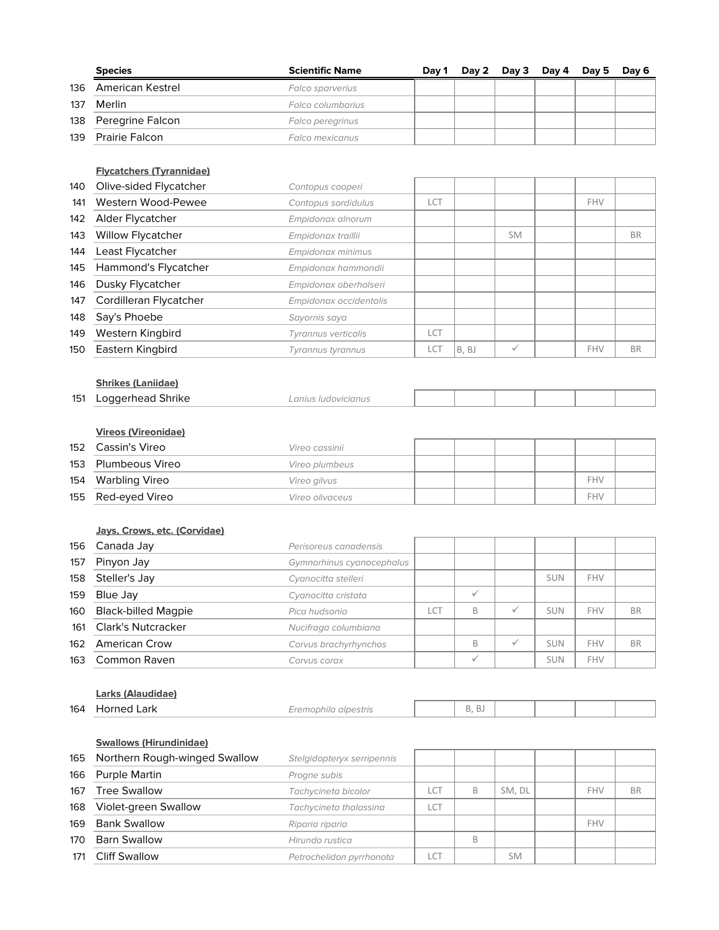|     | <b>Species</b>       | <b>Scientific Name</b>  | Dav 1 |  | Day 2 Day 3 Day 4 Day 5 Day 6 |  |
|-----|----------------------|-------------------------|-------|--|-------------------------------|--|
| 136 | American Kestrel     | <b>Falco sparverius</b> |       |  |                               |  |
| 137 | Merlin               | Falco columbarius       |       |  |                               |  |
|     | 138 Peregrine Falcon | <b>Falco peregrinus</b> |       |  |                               |  |
|     | 139 Prairie Falcon   | Falco mexicanus         |       |  |                               |  |

#### **Flycatchers (Tyrannidae)**

| 140 | Olive-sided Flycatcher   | Contopus cooperi       |     |       |              |            |           |
|-----|--------------------------|------------------------|-----|-------|--------------|------------|-----------|
| 141 | Western Wood-Pewee       | Contopus sordidulus    | LCT |       |              | <b>FHV</b> |           |
| 142 | Alder Flycatcher         | Empidonax alnorum      |     |       |              |            |           |
| 143 | <b>Willow Flycatcher</b> | Empidonax traillii     |     |       | <b>SM</b>    |            | <b>BR</b> |
| 144 | Least Flycatcher         | Empidonax minimus      |     |       |              |            |           |
| 145 | Hammond's Flycatcher     | Empidonax hammondii    |     |       |              |            |           |
| 146 | Dusky Flycatcher         | Empidonax oberholseri  |     |       |              |            |           |
| 147 | Cordilleran Flycatcher   | Empidonax occidentalis |     |       |              |            |           |
| 148 | Say's Phoebe             | Sayornis saya          |     |       |              |            |           |
| 149 | Western Kingbird         | Tyrannus verticalis    | LCT |       |              |            |           |
| 150 | Eastern Kingbird         | Tyrannus tyrannus      | LCT | B, BJ | $\checkmark$ | FHV        | <b>BR</b> |

# **Shrikes (Laniidae)**

| 151 | oggerhead Shrike. | <i>IUGOVICIANUS</i><br>ЧШЬ. |  |  |  |
|-----|-------------------|-----------------------------|--|--|--|
|     |                   |                             |  |  |  |

# **Vireos (Vireonidae)**

| 152 | Cassin's Vireo      | Vireo cassinii  |  |  |            |  |
|-----|---------------------|-----------------|--|--|------------|--|
|     | 153 Plumbeous Vireo | Vireo plumbeus  |  |  |            |  |
|     | 154 Warbling Vireo  | Vireo gilvus    |  |  | <b>FHV</b> |  |
|     | 155 Red-eyed Vireo  | Vireo olivaceus |  |  | <b>FHV</b> |  |

#### **Jays, Crows, etc. (Corvidae)**

| 156 | Canada Jay                 | Perisoreus canadensis     |     |              |              |            |     |           |
|-----|----------------------------|---------------------------|-----|--------------|--------------|------------|-----|-----------|
| 157 | Pinyon Jay                 | Gymnorhinus cyanocephalus |     |              |              |            |     |           |
| 158 | Steller's Jay              | Cyanocitta stelleri       |     |              |              | <b>SUN</b> | FHV |           |
| 159 | Blue Jay                   | Cyanocitta cristata       |     | $\checkmark$ |              |            |     |           |
| 160 | <b>Black-billed Magpie</b> | Pica hudsonia             | LCT | B            | $\checkmark$ | <b>SUN</b> | FHV | <b>BR</b> |
| 161 | <b>Clark's Nutcracker</b>  | Nucifraga columbiana      |     |              |              |            |     |           |
| 162 | <b>American Crow</b>       | Corvus brachyrhynchos     |     | B            | $\checkmark$ | <b>SUN</b> | FHV | <b>BR</b> |
| 163 | Common Raven               | Corvus corax              |     | $\checkmark$ |              | <b>SUN</b> | FHV |           |

#### **Larks (Alaudidae)**

| 164 | ark<br>רז⊢ | $\overline{\phantom{a}}$<br>the contract of the contract of the | $\sim$<br>Į. |  |  |
|-----|------------|-----------------------------------------------------------------|--------------|--|--|
|     |            |                                                                 |              |  |  |

J.

# **Swallows (Hirundinidae)**

| 165 | Northern Rough-winged Swallow | Stelgidopteryx serripennis |                  |   |           |            |           |
|-----|-------------------------------|----------------------------|------------------|---|-----------|------------|-----------|
| 166 | <b>Purple Martin</b>          | Progne subis               |                  |   |           |            |           |
| 167 | <b>Tree Swallow</b>           | Tachycineta bicolor        | LCT              | B | SM. DL    | <b>FHV</b> | <b>BR</b> |
| 168 | Violet-green Swallow          | Tachycineta thalassina     | $C^{\mathsf{T}}$ |   |           |            |           |
| 169 | <b>Bank Swallow</b>           | Riparia riparia            |                  |   |           | FHV        |           |
| 170 | <b>Barn Swallow</b>           | Hirundo rustica            |                  | B |           |            |           |
| 171 | <b>Cliff Swallow</b>          | Petrochelidon pyrrhonota   |                  |   | <b>SM</b> |            |           |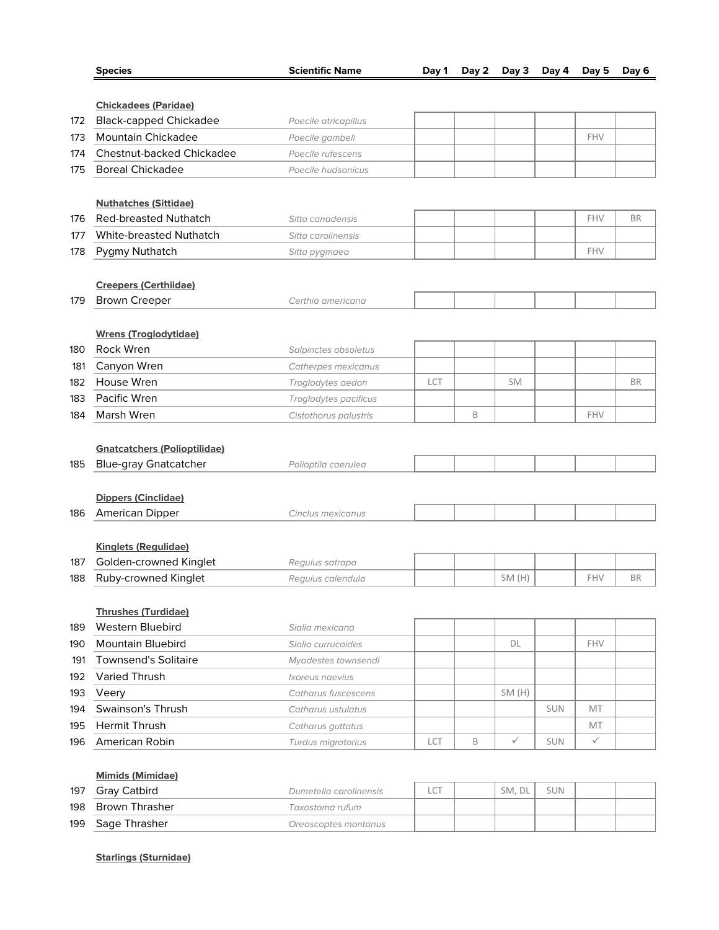| <b>Species</b>                                                      | <b>Scientific Name</b> | Day 1 | Day 2 | Day 3        | Day 4      | Day 5        | Day 6     |
|---------------------------------------------------------------------|------------------------|-------|-------|--------------|------------|--------------|-----------|
|                                                                     |                        |       |       |              |            |              |           |
| <b>Chickadees (Paridae)</b>                                         |                        |       |       |              |            |              |           |
| <b>Black-capped Chickadee</b>                                       | Poecile atricapillus   |       |       |              |            |              |           |
| <b>Mountain Chickadee</b>                                           | Poecile gambeli        |       |       |              |            | FHV          |           |
| Chestnut-backed Chickadee                                           | Poecile rufescens      |       |       |              |            |              |           |
| <b>Boreal Chickadee</b>                                             | Poecile hudsonicus     |       |       |              |            |              |           |
| <b>Nuthatches (Sittidae)</b>                                        |                        |       |       |              |            |              |           |
| <b>Red-breasted Nuthatch</b>                                        | Sitta canadensis       |       |       |              |            | FHV          | <b>BR</b> |
| White-breasted Nuthatch                                             | Sitta carolinensis     |       |       |              |            |              |           |
| Pygmy Nuthatch                                                      | Sitta pygmaea          |       |       |              |            | FHV          |           |
|                                                                     |                        |       |       |              |            |              |           |
| <b>Creepers (Certhiidae)</b>                                        |                        |       |       |              |            |              |           |
| <b>Brown Creeper</b>                                                | Certhia americana      |       |       |              |            |              |           |
|                                                                     |                        |       |       |              |            |              |           |
| <b>Wrens (Troglodytidae)</b>                                        |                        |       |       |              |            |              |           |
| Rock Wren                                                           | Salpinctes obsoletus   |       |       |              |            |              |           |
| Canyon Wren                                                         | Catherpes mexicanus    |       |       |              |            |              |           |
| House Wren                                                          | Troglodytes aedon      | LCT   |       | SM           |            |              | <b>BR</b> |
| Pacific Wren                                                        | Troglodytes pacificus  |       |       |              |            |              |           |
| Marsh Wren                                                          | Cistothorus palustris  |       | B     |              |            | FHV          |           |
| <b>Gnatcatchers (Polioptilidae)</b><br><b>Blue-gray Gnatcatcher</b> | Polioptila caerulea    |       |       |              |            |              |           |
|                                                                     |                        |       |       |              |            |              |           |
| <b>Dippers (Cinclidae)</b>                                          |                        |       |       |              |            |              |           |
| American Dipper                                                     | Cinclus mexicanus      |       |       |              |            |              |           |
|                                                                     |                        |       |       |              |            |              |           |
| <b>Kinglets (Regulidae)</b>                                         |                        |       |       |              |            |              |           |
| Golden-crowned Kinglet                                              | Regulus satrapa        |       |       |              |            |              |           |
| Ruby-crowned Kinglet                                                | Regulus calendula      |       |       | SM(H)        |            | FHV          | <b>BR</b> |
|                                                                     |                        |       |       |              |            |              |           |
| <b>Thrushes (Turdidae)</b>                                          |                        |       |       |              |            |              |           |
| Western Bluebird                                                    | Sialia mexicana        |       |       |              |            |              |           |
| <b>Mountain Bluebird</b>                                            | Sialia currucoides     |       |       | DL           |            | FHV          |           |
| <b>Townsend's Solitaire</b>                                         | Myadestes townsendi    |       |       |              |            |              |           |
| <b>Varied Thrush</b>                                                | Ixoreus naevius        |       |       |              |            |              |           |
| Veery                                                               | Catharus fuscescens    |       |       | SM(H)        |            |              |           |
| Swainson's Thrush                                                   | Catharus ustulatus     |       |       |              | <b>SUN</b> | <b>MT</b>    |           |
| Hermit Thrush                                                       |                        |       |       |              |            | MT           |           |
| American Robin                                                      | Catharus guttatus      |       |       | $\checkmark$ |            | $\checkmark$ |           |
|                                                                     | Turdus migratorius     | LCT   | B     |              | <b>SUN</b> |              |           |

| 197 | Gray Catbird   | Dumetella carolinensis | $\sim$<br>ᄔ | SM. DL | <b>SUN</b> |  |
|-----|----------------|------------------------|-------------|--------|------------|--|
| 198 | Brown Thrasher | Toxostoma rufum        |             |        |            |  |
| 199 | Sage Thrasher  | Oreoscoptes montanus   |             |        |            |  |

**Starlings (Sturnidae)**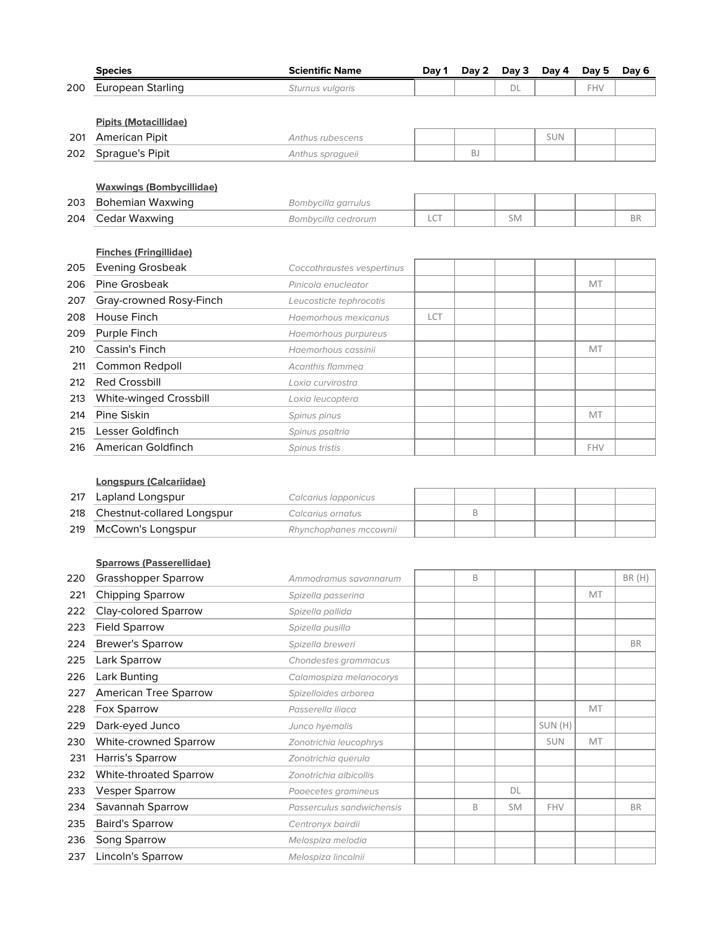|     | <b>Species</b>                  | <b>Scientific Name</b>     | Day 1      | Day 2     | Day 3     | Day 4      | Day 5      | Day 6     |
|-----|---------------------------------|----------------------------|------------|-----------|-----------|------------|------------|-----------|
| 200 | <b>European Starling</b>        | Sturnus vulgaris           |            |           | DL        |            | <b>FHV</b> |           |
|     |                                 |                            |            |           |           |            |            |           |
|     | <b>Pipits (Motacillidae)</b>    |                            |            |           |           |            |            |           |
| 201 | <b>American Pipit</b>           | <b>Anthus rubescens</b>    |            |           |           | <b>SUN</b> |            |           |
| 202 | Sprague's Pipit                 | Anthus spragueii           |            | <b>BJ</b> |           |            |            |           |
|     |                                 |                            |            |           |           |            |            |           |
|     | <b>Waxwings (Bombycillidae)</b> |                            |            |           |           |            |            |           |
| 203 | <b>Bohemian Waxwing</b>         | Bombycilla garrulus        |            |           |           |            |            |           |
| 204 | Cedar Waxwing                   | Bombycilla cedrorum        | LCT        |           | <b>SM</b> |            |            | <b>BR</b> |
|     |                                 |                            |            |           |           |            |            |           |
|     | <b>Finches (Fringillidae)</b>   |                            |            |           |           |            |            |           |
| 205 | <b>Evening Grosbeak</b>         | Coccothraustes vespertinus |            |           |           |            |            |           |
| 206 | Pine Grosbeak                   | Pinicola enucleator        |            |           |           |            | MT         |           |
| 207 | Gray-crowned Rosy-Finch         | Leucosticte tephrocotis    |            |           |           |            |            |           |
| 208 | House Finch                     | Haemorhous mexicanus       | <b>LCT</b> |           |           |            |            |           |
| 209 | Purple Finch                    | Haemorhous purpureus       |            |           |           |            |            |           |
| 210 | Cassin's Finch                  | Haemorhous cassinii        |            |           |           |            | MT         |           |
| 211 | Common Redpoll                  | Acanthis flammea           |            |           |           |            |            |           |
| 212 | <b>Red Crossbill</b>            | Loxia curvirostra          |            |           |           |            |            |           |
| 213 | White-winged Crossbill          | Loxia leucoptera           |            |           |           |            |            |           |
| 214 | Pine Siskin                     | Spinus pinus               |            |           |           |            | MT         |           |
| 215 | Lesser Goldfinch                | Spinus psaltria            |            |           |           |            |            |           |
| 216 | American Goldfinch              | Spinus tristis             |            |           |           |            | FHV        |           |
|     |                                 |                            |            |           |           |            |            |           |
|     | <b>Longspurs (Calcariidae)</b>  |                            |            |           |           |            |            |           |
| 217 | Lapland Longspur                | Calcarius Iapponicus       |            |           |           |            |            |           |
| 218 | Chestnut-collared Longspur      | Calcarius ornatus          |            | B         |           |            |            |           |
| 219 | McCown's Longspur               | Rhynchophanes mccownii     |            |           |           |            |            |           |
|     |                                 |                            |            |           |           |            |            |           |
|     | <b>Sparrows (Passerellidae)</b> |                            |            |           |           |            |            |           |
| 220 | <b>Grasshopper Sparrow</b>      | Ammodramus savannarum      |            | B         |           |            |            | BR(H)     |
| 221 | <b>Chipping Sparrow</b>         | Spizella passerina         |            |           |           |            | MT         |           |
| 222 | <b>Clay-colored Sparrow</b>     | Spizella pallida           |            |           |           |            |            |           |
| 223 | <b>Field Sparrow</b>            | Spizella pusilla           |            |           |           |            |            |           |
| 224 | <b>Brewer's Sparrow</b>         | Spizella breweri           |            |           |           |            |            | <b>BR</b> |
| 225 | Lark Sparrow                    | Chondestes grammacus       |            |           |           |            |            |           |
| 226 | Lark Bunting                    | Calamospiza melanocorys    |            |           |           |            |            |           |
| 227 | American Tree Sparrow           | Spizelloides arborea       |            |           |           |            |            |           |
| 228 | Fox Sparrow                     | Passerella iliaca          |            |           |           |            | MT         |           |
| 229 | Dark-eyed Junco                 | Junco hyemalis             |            |           |           | SUN (H)    |            |           |
| 230 | White-crowned Sparrow           | Zonotrichia leucophrys     |            |           |           | <b>SUN</b> | MT         |           |
| 231 | Harris's Sparrow                | Zonotrichia querula        |            |           |           |            |            |           |
| 232 | White-throated Sparrow          | Zonotrichia albicollis     |            |           |           |            |            |           |
| 233 | <b>Vesper Sparrow</b>           | Pooecetes gramineus        |            |           | DL        |            |            |           |
| 234 | Savannah Sparrow                | Passerculus sandwichensis  |            | B         | SM        | FHV        |            | <b>BR</b> |
| 235 | <b>Baird's Sparrow</b>          | Centronyx bairdii          |            |           |           |            |            |           |
| 236 | Song Sparrow                    | Melospiza melodia          |            |           |           |            |            |           |
| 237 | Lincoln's Sparrow               | Melospiza lincolnii        |            |           |           |            |            |           |
|     |                                 |                            |            |           |           |            |            |           |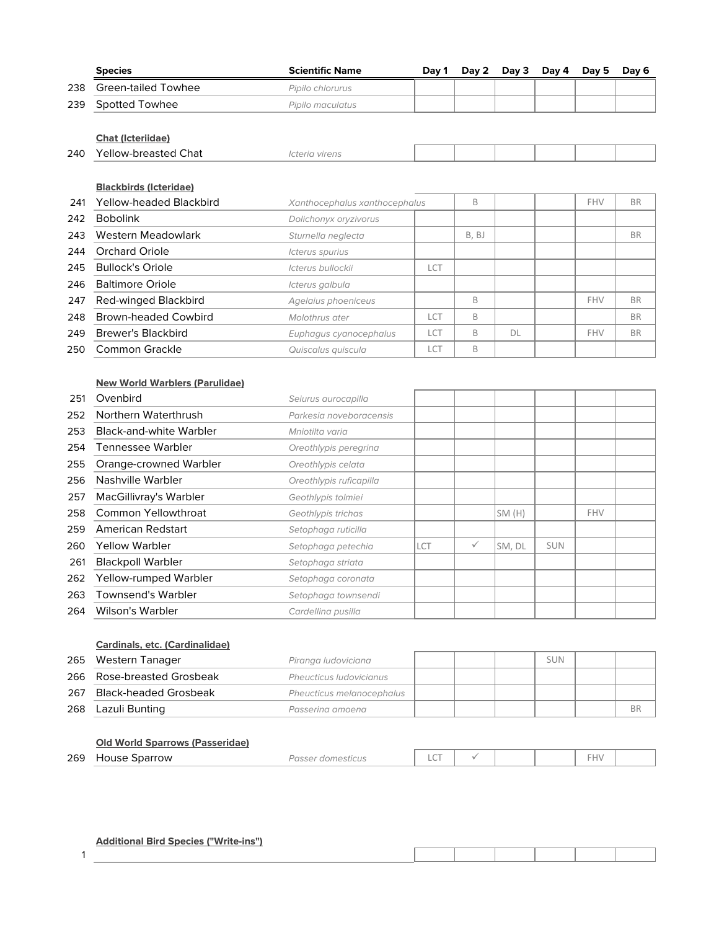|     | <b>Species</b>                        | <b>Scientific Name</b>        | Day 1 | Day 2 | Day 3  | Day 4      | Day 5 | Day 6     |
|-----|---------------------------------------|-------------------------------|-------|-------|--------|------------|-------|-----------|
| 238 | <b>Green-tailed Towhee</b>            | Pipilo chlorurus              |       |       |        |            |       |           |
| 239 | Spotted Towhee                        | Pipilo maculatus              |       |       |        |            |       |           |
|     |                                       |                               |       |       |        |            |       |           |
|     | <b>Chat (Icteriidae)</b>              |                               |       |       |        |            |       |           |
| 240 | Yellow-breasted Chat                  | Icteria virens                |       |       |        |            |       |           |
|     | <b>Blackbirds (Icteridae)</b>         |                               |       |       |        |            |       |           |
| 241 | <b>Yellow-headed Blackbird</b>        | Xanthocephalus xanthocephalus |       | B     |        |            | FHV   | <b>BR</b> |
|     | <b>Bobolink</b>                       |                               |       |       |        |            |       |           |
| 242 |                                       | Dolichonyx oryzivorus         |       |       |        |            |       |           |
| 243 | Western Meadowlark                    | Sturnella neglecta            |       | B, BJ |        |            |       | <b>BR</b> |
| 244 | <b>Orchard Oriole</b>                 | Icterus spurius               |       |       |        |            |       |           |
| 245 | <b>Bullock's Oriole</b>               | Icterus bullockii             | LCT   |       |        |            |       |           |
| 246 | <b>Baltimore Oriole</b>               | Icterus galbula               |       |       |        |            |       |           |
| 247 | Red-winged Blackbird                  | Agelaius phoeniceus           |       | B     |        |            | FHV   | <b>BR</b> |
| 248 | <b>Brown-headed Cowbird</b>           | Molothrus ater                | LCT   | B     |        |            |       | <b>BR</b> |
| 249 | <b>Brewer's Blackbird</b>             | Euphagus cyanocephalus        | LCT   | B     | DL     |            | FHV   | <b>BR</b> |
| 250 | Common Grackle                        | Quiscalus quiscula            | LCT   | B     |        |            |       |           |
|     |                                       |                               |       |       |        |            |       |           |
|     | <b>New World Warblers (Parulidae)</b> |                               |       |       |        |            |       |           |
| 251 | Ovenbird                              | Seiurus aurocapilla           |       |       |        |            |       |           |
| 252 | Northern Waterthrush                  | Parkesia noveboracensis       |       |       |        |            |       |           |
| 253 | <b>Black-and-white Warbler</b>        | Mniotilta varia               |       |       |        |            |       |           |
| 254 | <b>Tennessee Warbler</b>              | Oreothlypis peregrina         |       |       |        |            |       |           |
| 255 | Orange-crowned Warbler                | Oreothlypis celata            |       |       |        |            |       |           |
| 256 | Nashville Warbler                     | Oreothlypis ruficapilla       |       |       |        |            |       |           |
| 257 | MacGillivray's Warbler                | Geothlypis tolmiei            |       |       |        |            |       |           |
| 258 | <b>Common Yellowthroat</b>            | Geothlypis trichas            |       |       | SM(H)  |            | FHV   |           |
| 259 | American Redstart                     | Setophaga ruticilla           |       |       |        |            |       |           |
| 260 | <b>Yellow Warbler</b>                 | Setophaga petechia            | LCT   | ✓     | SM, DL | <b>SUN</b> |       |           |
| 261 | <b>Blackpoll Warbler</b>              | Setophaga striata             |       |       |        |            |       |           |
| 262 | Yellow-rumped Warbler                 | Setophaga coronata            |       |       |        |            |       |           |

#### **Cardinals, etc. (Cardinalidae)**

263 Townsend's Warbler Setophaga townsendi 264 Wilson's Warbler Cardellina pusilla

|     | 265 Western Tanager        | Piranga ludoviciana       |  | sun |    |
|-----|----------------------------|---------------------------|--|-----|----|
|     | 266 Rose-breasted Grosbeak | Pheucticus Iudovicianus   |  |     |    |
|     | 267 Black-headed Grosbeak  | Pheucticus melanocephalus |  |     |    |
| 268 | Lazuli Bunting             | Passerina amoena          |  |     | ВF |

#### **Old World Sparrows (Passeridae)**

|--|

#### **Additional Bird Species ("Write-ins")**